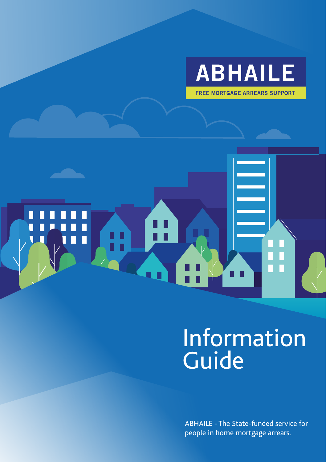

г

# Information **Guide**

ABHAILE - The State-funded service for people in home mortgage arrears.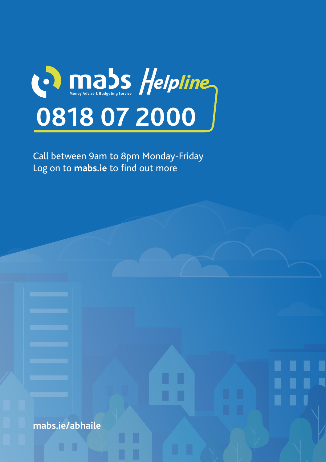

Call between 9am to 8pm Monday-Friday Log on to **[mabs.ie](http://www.mabs.ie)** to find out more

**[mabs.ie/abhaile](http://www.mabs.ie/abhaile)**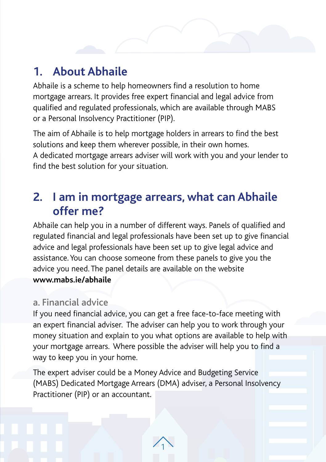## **1. About Abhaile**

Abhaile is a scheme to help homeowners find a resolution to home mortgage arrears. It provides free expert financial and legal advice from qualified and regulated professionals, which are available through MABS or a Personal Insolvency Practitioner (PIP).

The aim of Abhaile is to help mortgage holders in arrears to find the best solutions and keep them wherever possible, in their own homes. A dedicated mortgage arrears adviser will work with you and your lender to find the best solution for your situation.

## **2. I am in mortgage arrears, what can Abhaile offer me?**

Abhaile can help you in a number of different ways. Panels of qualified and regulated financial and legal professionals have been set up to give financial advice and legal professionals have been set up to give legal advice and assistance. You can choose someone from these panels to give you the advice you need. The panel details are available on the website **[www.mabs.ie/abhaile](http://www.mabs.ie/abhaile)**

#### a. Financial advice

If you need financial advice, you can get a free face-to-face meeting with an expert financial adviser. The adviser can help you to work through your money situation and explain to you what options are available to help with your mortgage arrears. Where possible the adviser will help you to find a way to keep you in your home.

The expert adviser could be a Money Advice and Budgeting Service (MABS) Dedicated Mortgage Arrears (DMA) adviser, a Personal Insolvency Practitioner (PIP) or an accountant.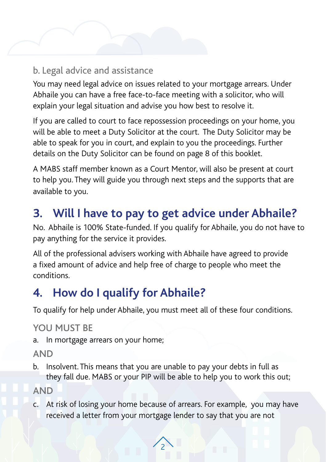## b. Legal advice and assistance

You may need legal advice on issues related to your mortgage arrears. Under Abhaile you can have a free face-to-face meeting with a solicitor, who will explain your legal situation and advise you how best to resolve it.

If you are called to court to face repossession proceedings on your home, you will be able to meet a Duty Solicitor at the court. The Duty Solicitor may be able to speak for you in court, and explain to you the proceedings. Further details on the Duty Solicitor can be found on page 8 of this booklet.

A MABS staff member known as a Court Mentor, will also be present at court to help you. They will guide you through next steps and the supports that are available to you.

# **3. Will I have to pay to get advice under Abhaile?**

No. Abhaile is 100% State-funded. If you qualify for Abhaile, you do not have to pay anything for the service it provides.

All of the professional advisers working with Abhaile have agreed to provide a fixed amount of advice and help free of charge to people who meet the conditions.

# **4. How do I qualify for Abhaile?**

To qualify for help under Abhaile, you must meet all of these four conditions.

#### YOU MUST BE

a. In mortgage arrears on your home;

AND

b. Insolvent. This means that you are unable to pay your debts in full as they fall due. MABS or your PIP will be able to help you to work this out;

AND

c. At risk of losing your home because of arrears. For example, you may have received a letter from your mortgage lender to say that you are not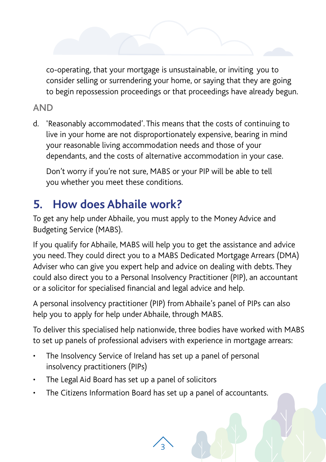co-operating, that your mortgage is unsustainable, or inviting you to consider selling or surrendering your home, or saying that they are going to begin repossession proceedings or that proceedings have already begun.

#### AND

d. 'Reasonably accommodated'. This means that the costs of continuing to live in your home are not disproportionately expensive, bearing in mind your reasonable living accommodation needs and those of your dependants, and the costs of alternative accommodation in your case.

Don't worry if you're not sure, MABS or your PIP will be able to tell you whether you meet these conditions.

# **5. How does Abhaile work?**

To get any help under Abhaile, you must apply to the Money Advice and Budgeting Service (MABS).

If you qualify for Abhaile, MABS will help you to get the assistance and advice you need. They could direct you to a MABS Dedicated Mortgage Arrears (DMA) Adviser who can give you expert help and advice on dealing with debts. They could also direct you to a Personal Insolvency Practitioner (PIP), an accountant or a solicitor for specialised financial and legal advice and help.

A personal insolvency practitioner (PIP) from Abhaile's panel of PIPs can also help you to apply for help under Abhaile, through MABS.

To deliver this specialised help nationwide, three bodies have worked with MABS to set up panels of professional advisers with experience in mortgage arrears:

- The Insolvency Service of Ireland has set up a panel of personal insolvency practitioners (PIPs)
- The Legal Aid Board has set up a panel of solicitors
- The Citizens Information Board has set up a panel of accountants.

 $\overline{a}$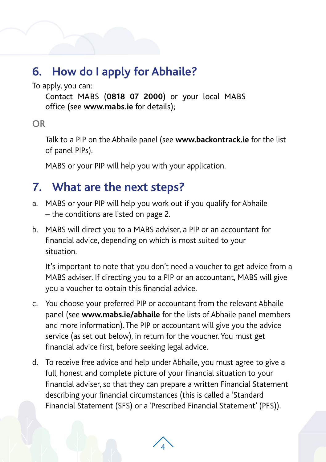# **6. How do I apply for Abhaile?**

To apply, you can:

Contact MABS (**0818 07 2000**) or your local MABS office (see **[www.m](http://www.mabs.ie)abs.ie** for details);

OR

Talk to a PIP on the Abhaile panel (see **[www.backontrack.ie](http://www.backontrack.ie)** for the list of panel PIPs).

MABS or your PIP will help you with your application.

## **7. What are the next steps?**

- a. MABS or your PIP will help you work out if you qualify for Abhaile – the conditions are listed on page 2.
- b. MABS will direct you to a MABS adviser, a PIP or an accountant for financial advice, depending on which is most suited to your situation.

It's important to note that you don't need a voucher to get advice from a MABS adviser. If directing you to a PIP or an accountant, MABS will give you a voucher to obtain this financial advice.

- c. You choose your preferred PIP or accountant from the relevant Abhaile panel (see **[www.mabs.ie/abhaile](http://www.mabs.ie/abhaile)** for the lists of Abhaile panel members and more information). The PIP or accountant will give you the advice service (as set out below), in return for the voucher. You must get financial advice first, before seeking legal advice.
- d. To receive free advice and help under Abhaile, you must agree to give a full, honest and complete picture of your financial situation to your financial adviser, so that they can prepare a written Financial Statement describing your financial circumstances (this is called a 'Standard Financial Statement (SFS) or a 'Prescribed Financial Statement' (PFS)).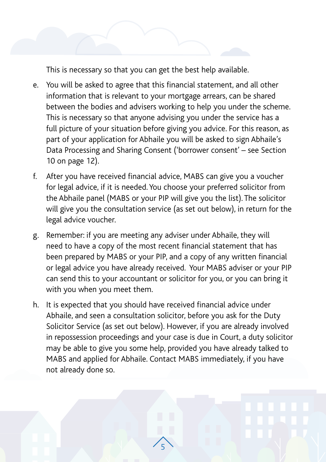This is necessary so that you can get the best help available.

- e. You will be asked to agree that this financial statement, and all other information that is relevant to your mortgage arrears, can be shared between the bodies and advisers working to help you under the scheme. This is necessary so that anyone advising you under the service has a full picture of your situation before giving you advice. For this reason, as part of your application for Abhaile you will be asked to sign Abhaile's Data Processing and Sharing Consent ('borrower consent' – see Section 10 on page 12).
- f. After you have received financial advice, MABS can give you a voucher for legal advice, if it is needed. You choose your preferred solicitor from the Abhaile panel (MABS or your PIP will give you the list). The solicitor will give you the consultation service (as set out below), in return for the legal advice voucher.
- g. Remember: if you are meeting any adviser under Abhaile, they will need to have a copy of the most recent financial statement that has been prepared by MABS or your PIP, and a copy of any written financial or legal advice you have already received. Your MABS adviser or your PIP can send this to your accountant or solicitor for you, or you can bring it with you when you meet them.
- h. It is expected that you should have received financial advice under Abhaile, and seen a consultation solicitor, before you ask for the Duty Solicitor Service (as set out below). However, if you are already involved in repossession proceedings and your case is due in Court, a duty solicitor may be able to give you some help, provided you have already talked to MABS and applied for Abhaile. Contact MABS immediately, if you have not already done so.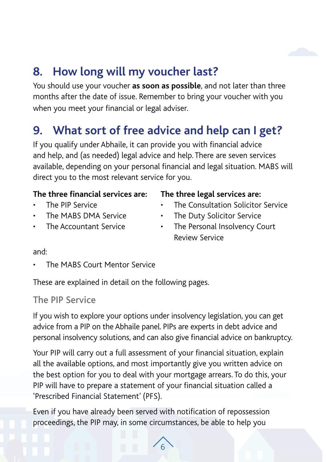# **8. How long will my voucher last?**

You should use your voucher **as soon as possible**, and not later than three months after the date of issue. Remember to bring your voucher with you when you meet your financial or legal adviser.

## **9. What sort of free advice and help can I get?**

If you qualify under Abhaile, it can provide you with financial advice and help, and (as needed) legal advice and help. There are seven services available, depending on your personal financial and legal situation. MABS will direct you to the most relevant service for you.

#### **The three financial services are:**

- The PIP Service
- The MABS DMA Service
- The Accountant Service

#### **The three legal services are:**

- The Consultation Solicitor Service
- The Duty Solicitor Service
- The Personal Insolvency Court Review Service

#### and:

The MARS Court Mentor Service

These are explained in detail on the following pages.

#### The PIP Service

If you wish to explore your options under insolvency legislation, you can get advice from a PIP on the Abhaile panel. PIPs are experts in debt advice and personal insolvency solutions, and can also give financial advice on bankruptcy.

Your PIP will carry out a full assessment of your financial situation, explain all the available options, and most importantly give you written advice on the best option for you to deal with your mortgage arrears. To do this, your PIP will have to prepare a statement of your financial situation called a 'Prescribed Financial Statement' (PFS).

6

Even if you have already been served with notification of repossession proceedings, the PIP may, in some circumstances, be able to help you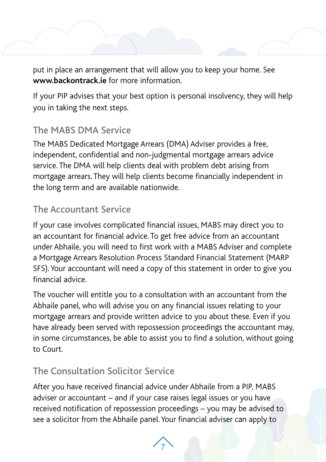put in place an arrangement that will allow you to keep your home. See **[www.backontrack.ie](http://www.backontrack.ie)** for more information.

If your PIP advises that your best option is personal insolvency, they will help you in taking the next steps.

### The MABS DMA Service

The MABS Dedicated Mortgage Arrears (DMA) Adviser provides a free, independent, confidential and non-judgmental mortgage arrears advice service. The DMA will help clients deal with problem debt arising from mortgage arrears. They will help clients become financially independent in the long term and are available nationwide.

### The Accountant Service

If your case involves complicated financial issues, MABS may direct you to an accountant for financial advice. To get free advice from an accountant under Abhaile, you will need to first work with a MABS Adviser and complete a Mortgage Arrears Resolution Process Standard Financial Statement (MARP SFS). Your accountant will need a copy of this statement in order to give you financial advice.

The voucher will entitle you to a consultation with an accountant from the Abhaile panel, who will advise you on any financial issues relating to your mortgage arrears and provide written advice to you about these. Even if you have already been served with repossession proceedings the accountant may, in some circumstances, be able to assist you to find a solution, without going to Court.

## The Consultation Solicitor Service

After you have received financial advice under Abhaile from a PIP, MABS adviser or accountant – and if your case raises legal issues or you have received notification of repossession proceedings – you may be advised to see a solicitor from the Abhaile panel. Your financial adviser can apply to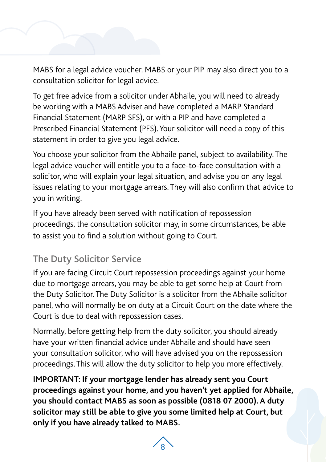MABS for a legal advice voucher. MABS or your PIP may also direct you to a consultation solicitor for legal advice.

To get free advice from a solicitor under Abhaile, you will need to already be working with a MABS Adviser and have completed a MARP Standard Financial Statement (MARP SFS), or with a PIP and have completed a Prescribed Financial Statement (PFS). Your solicitor will need a copy of this statement in order to give you legal advice.

You choose your solicitor from the Abhaile panel, subject to availability. The legal advice voucher will entitle you to a face-to-face consultation with a solicitor, who will explain your legal situation, and advise you on any legal issues relating to your mortgage arrears. They will also confirm that advice to you in writing.

If you have already been served with notification of repossession proceedings, the consultation solicitor may, in some circumstances, be able to assist you to find a solution without going to Court.

### The Duty Solicitor Service

If you are facing Circuit Court repossession proceedings against your home due to mortgage arrears, you may be able to get some help at Court from the Duty Solicitor. The Duty Solicitor is a solicitor from the Abhaile solicitor panel, who will normally be on duty at a Circuit Court on the date where the Court is due to deal with repossession cases.

Normally, before getting help from the duty solicitor, you should already have your written financial advice under Abhaile and should have seen your consultation solicitor, who will have advised you on the repossession proceedings. This will allow the duty solicitor to help you more effectively.

**IMPORTANT: If your mortgage lender has already sent you Court proceedings against your home, and you haven't yet applied for Abhaile, you should contact MABS as soon as possible (0818 07 2000).A duty solicitor may still be able to give you some limited help at Court, but only if you have already talked to MABS.**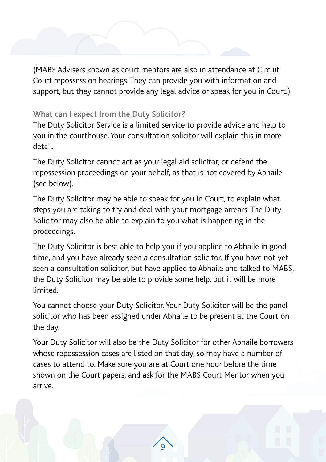(MABS Advisers known as court mentors are also in attendance at Circuit Court repossession hearings. They can provide you with information and support, but they cannot provide any legal advice or speak for you in Court.)

#### What can I expect from the Duty Solicitor?

The Duty Solicitor Service is a limited service to provide advice and help to you in the courthouse. Your consultation solicitor will explain this in more detail.

The Duty Solicitor cannot act as your legal aid solicitor, or defend the repossession proceedings on your behalf, as that is not covered by Abhaile (see below).

The Duty Solicitor may be able to speak for you in Court, to explain what steps you are taking to try and deal with your mortgage arrears. The Duty Solicitor may also be able to explain to you what is happening in the proceedings.

The Duty Solicitor is best able to help you if you applied to Abhaile in good time, and you have already seen a consultation solicitor. If you have not yet seen a consultation solicitor, but have applied to Abhaile and talked to MABS, the Duty Solicitor may be able to provide some help, but it will be more limited.

You cannot choose your Duty Solicitor. Your Duty Solicitor will be the panel solicitor who has been assigned under Abhaile to be present at the Court on the day.

Your Duty Solicitor will also be the Duty Solicitor for other Abhaile borrowers whose repossession cases are listed on that day, so may have a number of cases to attend to. Make sure you are at Court one hour before the time shown on the Court papers, and ask for the MABS Court Mentor when you arrive.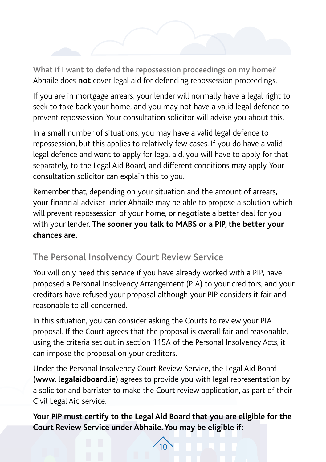What if I want to defend the repossession proceedings on my home? Abhaile does **not** cover legal aid for defending repossession proceedings.

If you are in mortgage arrears, your lender will normally have a legal right to seek to take back your home, and you may not have a valid legal defence to prevent repossession. Your consultation solicitor will advise you about this.

In a small number of situations, you may have a valid legal defence to repossession, but this applies to relatively few cases. If you do have a valid legal defence and want to apply for legal aid, you will have to apply for that separately, to the Legal Aid Board, and different conditions may apply. Your consultation solicitor can explain this to you.

Remember that, depending on your situation and the amount of arrears, your financial adviser under Abhaile may be able to propose a solution which will prevent repossession of your home, or negotiate a better deal for you with your lender. **The sooner you talk to MABS or a PIP, the better your chances are.**

### The Personal Insolvency Court Review Service

You will only need this service if you have already worked with a PIP, have proposed a Personal Insolvency Arrangement (PIA) to your creditors, and your creditors have refused your proposal although your PIP considers it fair and reasonable to all concerned.

In this situation, you can consider asking the Courts to review your PIA proposal. If the Court agrees that the proposal is overall fair and reasonable, using the criteria set out in section 115A of the Personal Insolvency Acts, it can impose the proposal on your creditors.

Under the Personal Insolvency Court Review Service, the Legal Aid Board (**www. legalaidboard.ie**) agrees to provide you with legal representation by a solicitor and barrister to make the Court review application, as part of their Civil Legal Aid service.

**Your PIP must certify to the Legal Aid Board that you are eligible for the Court Review Service under Abhaile. You may be eligible if:**

 $\overline{10}$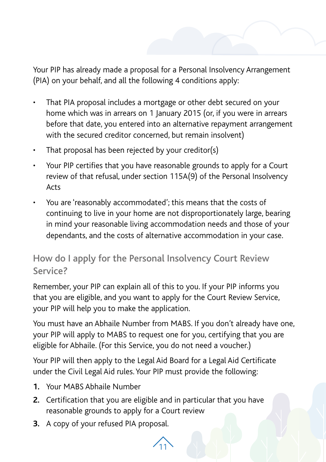Your PIP has already made a proposal for a Personal Insolvency Arrangement (PIA) on your behalf, and all the following 4 conditions apply:

- That PIA proposal includes a mortgage or other debt secured on your home which was in arrears on 1 January 2015 (or, if you were in arrears before that date, you entered into an alternative repayment arrangement with the secured creditor concerned, but remain insolvent)
- That proposal has been rejected by your creditor(s)
- Your PIP certifies that you have reasonable grounds to apply for a Court review of that refusal, under section 115A(9) of the Personal Insolvency Acts
- You are 'reasonably accommodated'; this means that the costs of continuing to live in your home are not disproportionately large, bearing in mind your reasonable living accommodation needs and those of your dependants, and the costs of alternative accommodation in your case.

## How do I apply for the Personal Insolvency Court Review Service?

Remember, your PIP can explain all of this to you. If your PIP informs you that you are eligible, and you want to apply for the Court Review Service, your PIP will help you to make the application.

You must have an Abhaile Number from MABS. If you don't already have one, your PIP will apply to MABS to request one for you, certifying that you are eligible for Abhaile. (For this Service, you do not need a voucher.)

Your PIP will then apply to the Legal Aid Board for a Legal Aid Certificate under the Civil Legal Aid rules. Your PIP must provide the following:

- **1.** Your MABS Abhaile Number
- **2.** Certification that you are eligible and in particular that you have reasonable grounds to apply for a Court review

11

**3.** A copy of your refused PIA proposal.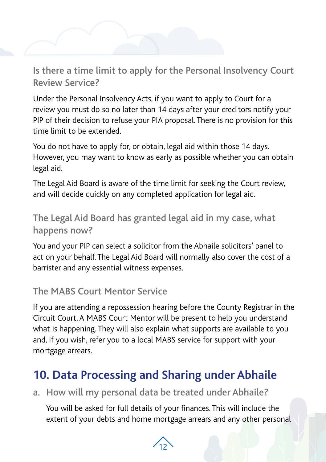#### Is there a time limit to apply for the Personal Insolvency Court Review Service?

Under the Personal Insolvency Acts, if you want to apply to Court for a review you must do so no later than 14 days after your creditors notify your PIP of their decision to refuse your PIA proposal. There is no provision for this time limit to be extended.

You do not have to apply for, or obtain, legal aid within those 14 days. However, you may want to know as early as possible whether you can obtain legal aid.

The Legal Aid Board is aware of the time limit for seeking the Court review, and will decide quickly on any completed application for legal aid.

#### The Legal Aid Board has granted legal aid in my case, what happens now?

You and your PIP can select a solicitor from the Abhaile solicitors' panel to act on your behalf. The Legal Aid Board will normally also cover the cost of a barrister and any essential witness expenses.

### The MABS Court Mentor Service

If you are attending a repossession hearing before the County Registrar in the Circuit Court, A MABS Court Mentor will be present to help you understand what is happening. They will also explain what supports are available to you and, if you wish, refer you to a local MABS service for support with your mortgage arrears.

# **10. Data Processing and Sharing under Abhaile**

a. How will my personal data be treated under Abhaile?

You will be asked for full details of your finances. This will include the extent of your debts and home mortgage arrears and any other personal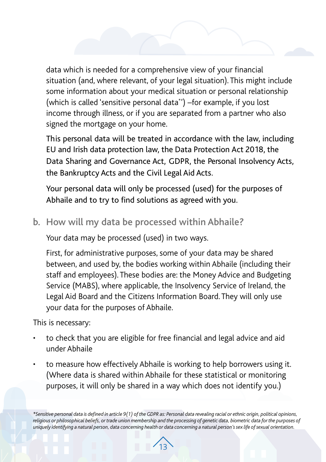data which is needed for a comprehensive view of your financial situation (and, where relevant, of your legal situation). This might include some information about your medical situation or personal relationship (which is called 'sensitive personal data\* ') –for example, if you lost income through illness, or if you are separated from a partner who also signed the mortgage on your home.

This personal data will be treated in accordance with the law, including EU and Irish data protection law, the Data Protection Act 2018, the Data Sharing and Governance Act, GDPR, the Personal Insolvency Acts, the Bankruptcy Acts and the Civil Legal Aid Acts.

 Your personal data will only be processed (used) for the purposes of Abhaile and to try to find solutions as agreed with you.

b. How will my data be processed within Abhaile?

Your data may be processed (used) in two ways.

First, for administrative purposes, some of your data may be shared between, and used by, the bodies working within Abhaile (including their staff and employees). These bodies are: the Money Advice and Budgeting Service (MABS), where applicable, the Insolvency Service of Ireland, the Legal Aid Board and the Citizens Information Board. They will only use your data for the purposes of Abhaile.

This is necessary:

- to check that you are eligible for free financial and legal advice and aid under Abhaile
- to measure how effectively Abhaile is working to help borrowers using it. (Where data is shared within Abhaile for these statistical or monitoring purposes, it will only be shared in a way which does not identify you.)

*\*Sensitive personal data is defined in article 9(1) of the GDPR as: Personal data revealing racial or ethnic origin, political opinions,*  religious or philosophical beliefs, or trade union membership and the processing of genetic data, biometric data for the purposes of *uniquely identifying a natural person, data concerning health or data concerning a natural person's sex life of sexual orientation.*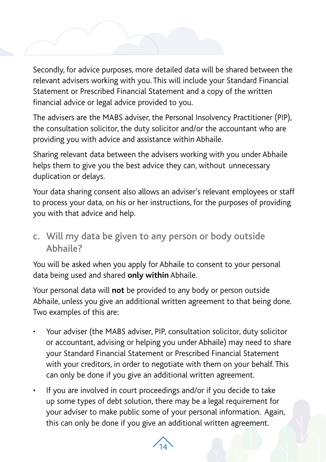Secondly, for advice purposes, more detailed data will be shared between the relevant advisers working with you. This will include your Standard Financial Statement or Prescribed Financial Statement and a copy of the written financial advice or legal advice provided to you.

The advisers are the MABS adviser, the Personal Insolvency Practitioner (PIP), the consultation solicitor, the duty solicitor and/or the accountant who are providing you with advice and assistance within Abhaile.

Sharing relevant data between the advisers working with you under Abhaile helps them to give you the best advice they can, without unnecessary duplication or delays.

Your data sharing consent also allows an adviser's relevant employees or staff to process your data, on his or her instructions, for the purposes of providing you with that advice and help.

### c. Will my data be given to any person or body outside Abhaile?

You will be asked when you apply for Abhaile to consent to your personal data being used and shared **only within** Abhaile.

Your personal data will **not** be provided to any body or person outside Abhaile, unless you give an additional written agreement to that being done. Two examples of this are:

- Your adviser (the MABS adviser, PIP, consultation solicitor, duty solicitor or accountant, advising or helping you under Abhaile) may need to share your Standard Financial Statement or Prescribed Financial Statement with your creditors, in order to negotiate with them on your behalf. This can only be done if you give an additional written agreement.
- If you are involved in court proceedings and/or if you decide to take up some types of debt solution, there may be a legal requirement for your adviser to make public some of your personal information. Again, this can only be done if you give an additional written agreement.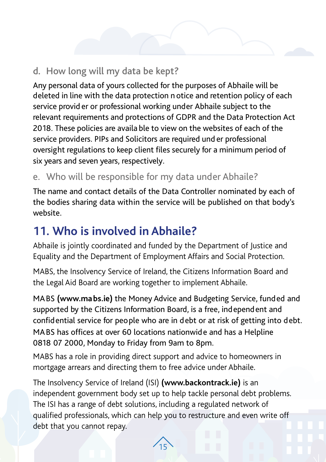## d. How long will my data be kept?

Any personal data of yours collected for the purposes of Abhaile will be deleted in line with the data protection n otice and retention policy of each service provid er or professional working under Abhaile subject to the relevant requirements and protections of GDPR and the Data Protection Act 2018. These policies are availa ble to view on the websites of each of the service providers. PIPs and Solicitors are required und er professional oversight regulations to keep client files securely for a minimum period of six years and seven years, respectively.

## e. Who will be responsible for my data under Abhaile?

The name and contact details of the Data Controller nominated by each of the bodies sharing data within the service will be published on that body's website.

## **11. Who is involved in Abhaile?**

Abhaile is jointly coordinated and funded by the Department of Justice and Equality and the Department of Employment Affairs and Social Protection.

MABS, the Insolvency Service of Ireland, the Citizens Information Board and the Legal Aid Board are working together to implement Abhaile.

MABS **[\(www.mabs.ie](http://www.mabs.ie))** the Money Advice and Budgeting Service, funded and supported by the Citizens Information Board, is a free, independent and confidential service for people who are in debt or at risk of getting into debt. MABS has offices at over 60 locations nationwide and has a Helpline 0818 07 2000, Monday to Friday from 9am to 8pm.

MABS has a role in providing direct support and advice to homeowners in mortgage arrears and directing them to free advice under Abhaile.

The Insolvency Service of Ireland (ISI) **([www.backontrack.ie](http://www.backontrack.ie))** is an independent government body set up to help tackle personal debt problems. The ISI has a range of debt solutions, including a regulated network of qualified professionals, which can help you to restructure and even write off debt that you cannot repay.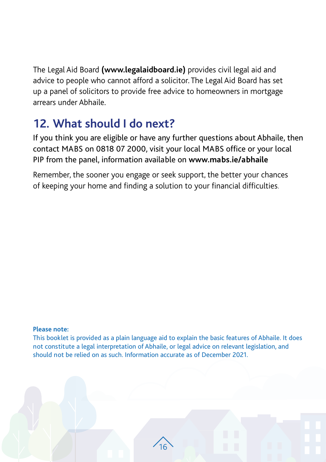The Legal Aid Board **[\(www.legalaidboard.ie](http://www.legalaidboard.ie))** provides civil legal aid and advice to people who cannot afford a solicitor. The Legal Aid Board has set up a panel of solicitors to provide free advice to homeowners in mortgage arrears under Abhaile.

## **12. What should I do next?**

If you think you are eligible or have any further questions about Abhaile, then contact MABS on 0818 07 2000, visit your local MABS office or your local PIP from the panel, information available on **[www.mabs.ie/abhail](http://www.mabs.ie/abhaile)e**

Remember, the sooner you engage or seek support, the better your chances of keeping your home and finding a solution to your financial difficulties.

#### **Please note:**

This booklet is provided as a plain language aid to explain the basic features of Abhaile. It does not constitute a legal interpretation of Abhaile, or legal advice on relevant legislation, and should not be relied on as such. Information accurate as of December 2021.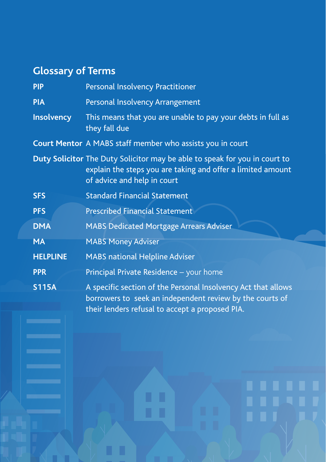# **Glossary of Terms**

| <b>PIP</b>        | Personal Insolvency Practitioner                                                                                                                                             |
|-------------------|------------------------------------------------------------------------------------------------------------------------------------------------------------------------------|
| <b>PIA</b>        | Personal Insolvency Arrangement                                                                                                                                              |
| <b>Insolvency</b> | This means that you are unable to pay your debts in full as<br>they fall due                                                                                                 |
|                   | Court Mentor A MABS staff member who assists you in court                                                                                                                    |
|                   | Duty Solicitor The Duty Solicitor may be able to speak for you in court to<br>explain the steps you are taking and offer a limited amount<br>of advice and help in court     |
| <b>SFS</b>        | <b>Standard Financial Statement</b>                                                                                                                                          |
| <b>PFS</b>        | <b>Prescribed Financial Statement</b>                                                                                                                                        |
| <b>DMA</b>        | <b>MABS Dedicated Mortgage Arrears Adviser</b>                                                                                                                               |
| <b>MA</b>         | <b>MABS Money Adviser</b>                                                                                                                                                    |
| <b>HELPLINE</b>   | <b>MABS national Helpline Adviser</b>                                                                                                                                        |
| <b>PPR</b>        | Principal Private Residence - your home                                                                                                                                      |
| <b>S115A</b>      | A specific section of the Personal Insolvency Act that allows<br>borrowers to seek an independent review by the courts of<br>their lenders refusal to accept a proposed PIA. |